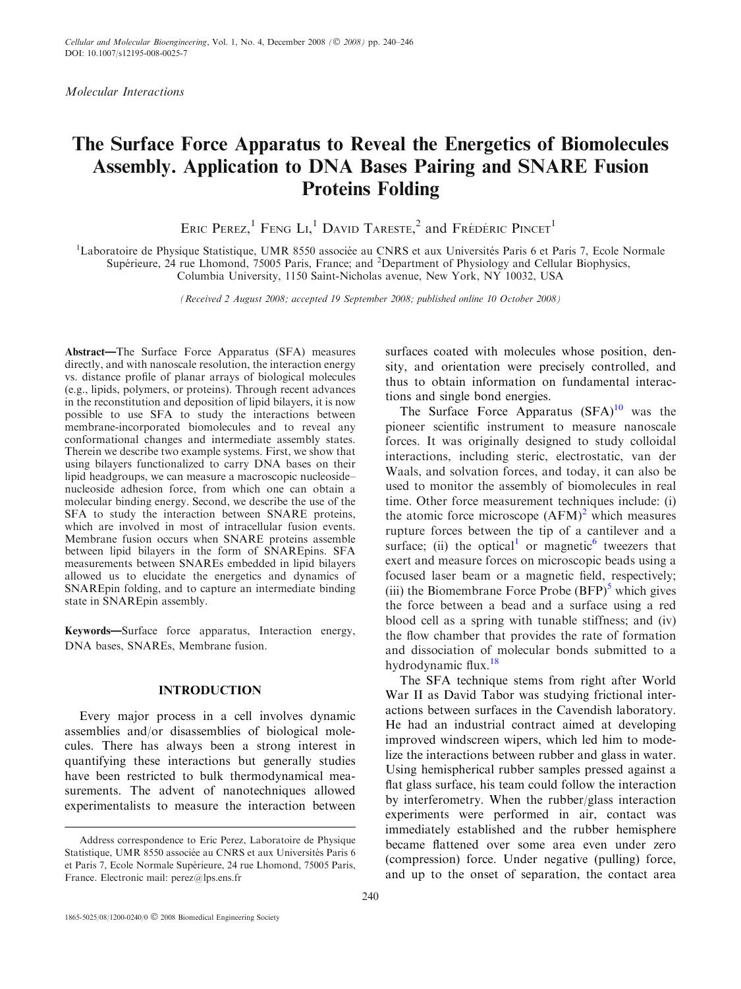Molecular Interactions

# The Surface Force Apparatus to Reveal the Energetics of Biomolecules Assembly. Application to DNA Bases Pairing and SNARE Fusion Proteins Folding

ERIC PEREZ,<sup>1</sup> FENG LI,<sup>1</sup> DAVID TARESTE,<sup>2</sup> and Frédéric PINCET<sup>1</sup>

<sup>1</sup>Laboratoire de Physique Statistique, UMR 8550 associée au CNRS et aux Universités Paris 6 et Paris 7, Ecole Normale Supérieure, 24 rue Lhomond, 75005 Paris, France; and <sup>2</sup>Department of Physiology and Cellular Biophysics, Columbia University, 1150 Saint-Nicholas avenue, New York, NY 10032, USA

(Received 2 August 2008; accepted 19 September 2008; published online 10 October 2008)

Abstract—The Surface Force Apparatus (SFA) measures directly, and with nanoscale resolution, the interaction energy vs. distance profile of planar arrays of biological molecules (e.g., lipids, polymers, or proteins). Through recent advances in the reconstitution and deposition of lipid bilayers, it is now possible to use SFA to study the interactions between membrane-incorporated biomolecules and to reveal any conformational changes and intermediate assembly states. Therein we describe two example systems. First, we show that using bilayers functionalized to carry DNA bases on their lipid headgroups, we can measure a macroscopic nucleoside– nucleoside adhesion force, from which one can obtain a molecular binding energy. Second, we describe the use of the SFA to study the interaction between SNARE proteins, which are involved in most of intracellular fusion events. Membrane fusion occurs when SNARE proteins assemble between lipid bilayers in the form of SNAREpins. SFA measurements between SNAREs embedded in lipid bilayers allowed us to elucidate the energetics and dynamics of SNAREpin folding, and to capture an intermediate binding state in SNAREpin assembly.

Keywords—Surface force apparatus, Interaction energy, DNA bases, SNAREs, Membrane fusion.

## INTRODUCTION

Every major process in a cell involves dynamic assemblies and/or disassemblies of biological molecules. There has always been a strong interest in quantifying these interactions but generally studies have been restricted to bulk thermodynamical measurements. The advent of nanotechniques allowed experimentalists to measure the interaction between surfaces coated with molecules whose position, density, and orientation were precisely controlled, and thus to obtain information on fundamental interactions and single bond energies.

The Surface Force Apparatus  $(SFA)^{10}$  $(SFA)^{10}$  $(SFA)^{10}$  was the pioneer scientific instrument to measure nanoscale forces. It was originally designed to study colloidal interactions, including steric, electrostatic, van der Waals, and solvation forces, and today, it can also be used to monitor the assembly of biomolecules in real time. Other force measurement techniques include: (i) the atomic force microscope  $(AFM)^2$  $(AFM)^2$  which measures rupture forces between the tip of a cantilever and a surface; (ii) the optical<sup>[1](#page-5-0)</sup> or magnetic<sup>[6](#page-5-0)</sup> tweezers that exert and measure forces on microscopic beads using a focused laser beam or a magnetic field, respectively; (iii) the Biomembrane Force Probe  $(BFP)^5$  $(BFP)^5$  which gives the force between a bead and a surface using a red blood cell as a spring with tunable stiffness; and (iv) the flow chamber that provides the rate of formation and dissociation of molecular bonds submitted to a hydrodynamic flux.<sup>[18](#page-6-0)</sup>

The SFA technique stems from right after World War II as David Tabor was studying frictional interactions between surfaces in the Cavendish laboratory. He had an industrial contract aimed at developing improved windscreen wipers, which led him to modelize the interactions between rubber and glass in water. Using hemispherical rubber samples pressed against a flat glass surface, his team could follow the interaction by interferometry. When the rubber/glass interaction experiments were performed in air, contact was immediately established and the rubber hemisphere became flattened over some area even under zero (compression) force. Under negative (pulling) force, and up to the onset of separation, the contact area

Address correspondence to Eric Perez, Laboratoire de Physique Statistique, UMR 8550 associée au CNRS et aux Universités Paris 6 et Paris 7, Ecole Normale Supérieure, 24 rue Lhomond, 75005 Paris, France. Electronic mail: perez@lps.ens.fr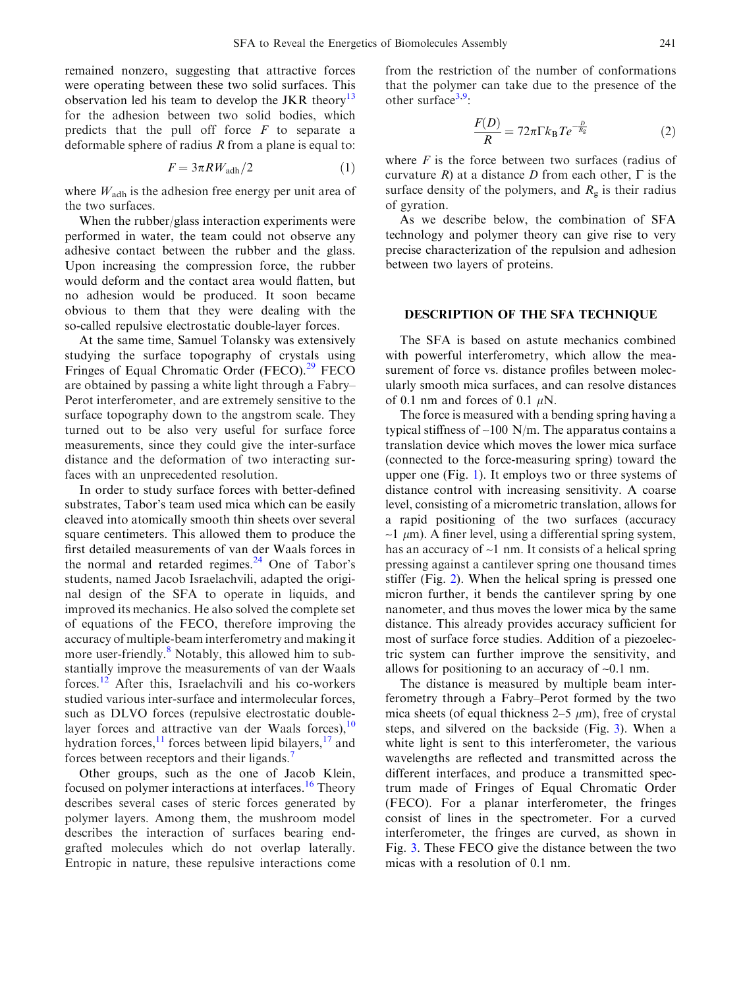$$
F = 3\pi R W_{\text{adh}}/2\tag{1}
$$

where  $W_{\text{adh}}$  is the adhesion free energy per unit area of the two surfaces.

When the rubber/glass interaction experiments were performed in water, the team could not observe any adhesive contact between the rubber and the glass. Upon increasing the compression force, the rubber would deform and the contact area would flatten, but no adhesion would be produced. It soon became obvious to them that they were dealing with the so-called repulsive electrostatic double-layer forces.

At the same time, Samuel Tolansky was extensively studying the surface topography of crystals using Fringes of Equal Chromatic Order (FECO).<sup>[29](#page-6-0)</sup> FECO are obtained by passing a white light through a Fabry– Perot interferometer, and are extremely sensitive to the surface topography down to the angstrom scale. They turned out to be also very useful for surface force measurements, since they could give the inter-surface distance and the deformation of two interacting surfaces with an unprecedented resolution.

In order to study surface forces with better-defined substrates, Tabor's team used mica which can be easily cleaved into atomically smooth thin sheets over several square centimeters. This allowed them to produce the first detailed measurements of van der Waals forces in the normal and retarded regimes. $24$  One of Tabor's students, named Jacob Israelachvili, adapted the original design of the SFA to operate in liquids, and improved its mechanics. He also solved the complete set of equations of the FECO, therefore improving the accuracy of multiple-beam interferometry and making it more user-friendly.<sup>[8](#page-5-0)</sup> Notably, this allowed him to substantially improve the measurements of van der Waals forces.[12](#page-6-0) After this, Israelachvili and his co-workers studied various inter-surface and intermolecular forces, such as DLVO forces (repulsive electrostatic doublelayer forces and attractive van der Waals forces), $10$ hydration forces, $\frac{11}{12}$  $\frac{11}{12}$  $\frac{11}{12}$  forces between lipid bilayers,  $\frac{17}{12}$  $\frac{17}{12}$  $\frac{17}{12}$  and forces between receptors and their ligands.<sup>[7](#page-5-0)</sup>

Other groups, such as the one of Jacob Klein, focused on polymer interactions at interfaces.[16](#page-6-0) Theory describes several cases of steric forces generated by polymer layers. Among them, the mushroom model describes the interaction of surfaces bearing endgrafted molecules which do not overlap laterally. Entropic in nature, these repulsive interactions come from the restriction of the number of conformations that the polymer can take due to the presence of the other surface<sup>[3,9](#page-5-0)</sup>:

$$
\frac{F(D)}{R} = 72\pi\Gamma k_{\rm B}Te^{-\frac{D}{R_{\rm g}}}
$$
 (2)

where  $F$  is the force between two surfaces (radius of curvature  $R$ ) at a distance  $D$  from each other,  $\Gamma$  is the surface density of the polymers, and  $R_g$  is their radius of gyration.

As we describe below, the combination of SFA technology and polymer theory can give rise to very precise characterization of the repulsion and adhesion between two layers of proteins.

## DESCRIPTION OF THE SFA TECHNIQUE

The SFA is based on astute mechanics combined with powerful interferometry, which allow the measurement of force vs. distance profiles between molecularly smooth mica surfaces, and can resolve distances of 0.1 nm and forces of 0.1  $\mu$ N.

The force is measured with a bending spring having a typical stiffness of  $\sim$ 100 N/m. The apparatus contains a translation device which moves the lower mica surface (connected to the force-measuring spring) toward the upper one (Fig. [1\)](#page-2-0). It employs two or three systems of distance control with increasing sensitivity. A coarse level, consisting of a micrometric translation, allows for a rapid positioning of the two surfaces (accuracy  $\sim$ 1  $\mu$ m). A finer level, using a differential spring system, has an accuracy of ~1 nm. It consists of a helical spring pressing against a cantilever spring one thousand times stiffer (Fig. [2\)](#page-2-0). When the helical spring is pressed one micron further, it bends the cantilever spring by one nanometer, and thus moves the lower mica by the same distance. This already provides accuracy sufficient for most of surface force studies. Addition of a piezoelectric system can further improve the sensitivity, and allows for positioning to an accuracy of  $\sim 0.1$  nm.

The distance is measured by multiple beam interferometry through a Fabry–Perot formed by the two mica sheets (of equal thickness  $2-5 \mu m$ ), free of crystal steps, and silvered on the backside (Fig. [3\)](#page-3-0). When a white light is sent to this interferometer, the various wavelengths are reflected and transmitted across the different interfaces, and produce a transmitted spectrum made of Fringes of Equal Chromatic Order (FECO). For a planar interferometer, the fringes consist of lines in the spectrometer. For a curved interferometer, the fringes are curved, as shown in Fig. [3](#page-3-0). These FECO give the distance between the two micas with a resolution of 0.1 nm.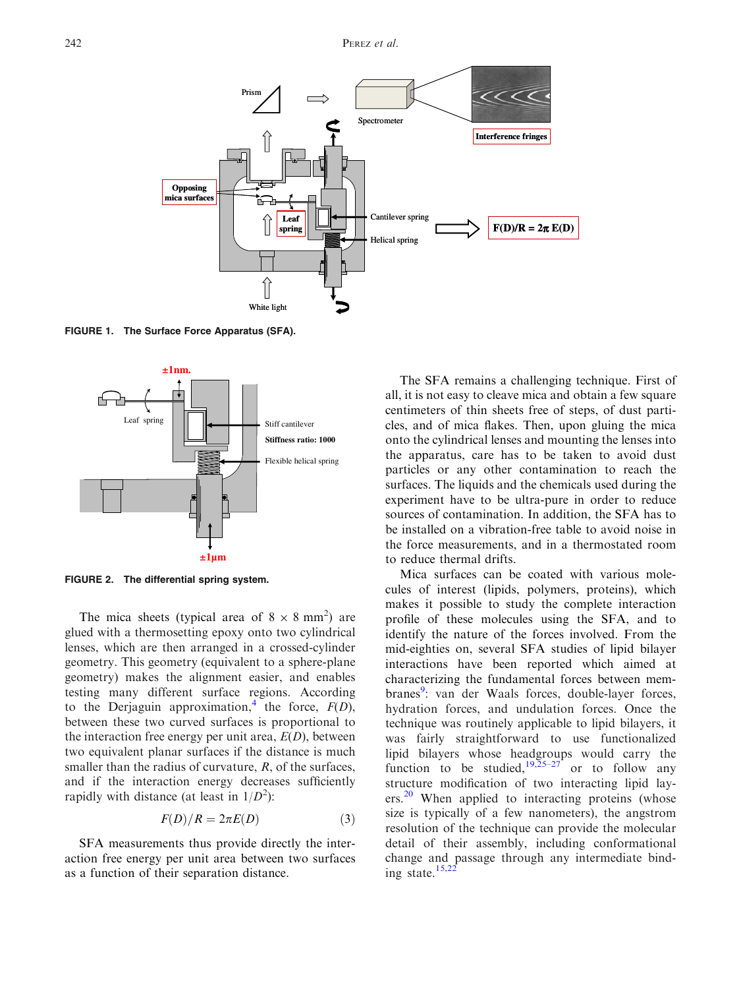<span id="page-2-0"></span>

FIGURE 1. The Surface Force Apparatus (SFA).



FIGURE 2. The differential spring system.

The mica sheets (typical area of  $8 \times 8$  mm<sup>2</sup>) are glued with a thermosetting epoxy onto two cylindrical lenses, which are then arranged in a crossed-cylinder geometry. This geometry (equivalent to a sphere-plane geometry) makes the alignment easier, and enables testing many different surface regions. According to the Derjaguin approximation,<sup>[4](#page-5-0)</sup> the force,  $F(D)$ , between these two curved surfaces is proportional to the interaction free energy per unit area,  $E(D)$ , between two equivalent planar surfaces if the distance is much smaller than the radius of curvature,  $R$ , of the surfaces, and if the interaction energy decreases sufficiently rapidly with distance (at least in  $1/D^2$ ):

$$
F(D)/R = 2\pi E(D) \tag{3}
$$

SFA measurements thus provide directly the interaction free energy per unit area between two surfaces as a function of their separation distance.

The SFA remains a challenging technique. First of all, it is not easy to cleave mica and obtain a few square centimeters of thin sheets free of steps, of dust particles, and of mica flakes. Then, upon gluing the mica onto the cylindrical lenses and mounting the lenses into the apparatus, care has to be taken to avoid dust particles or any other contamination to reach the surfaces. The liquids and the chemicals used during the experiment have to be ultra-pure in order to reduce sources of contamination. In addition, the SFA has to be installed on a vibration-free table to avoid noise in the force measurements, and in a thermostated room to reduce thermal drifts.

Mica surfaces can be coated with various molecules of interest (lipids, polymers, proteins), which makes it possible to study the complete interaction profile of these molecules using the SFA, and to identify the nature of the forces involved. From the mid-eighties on, several SFA studies of lipid bilayer interactions have been reported which aimed at characterizing the fundamental forces between mem-branes<sup>[9](#page-5-0)</sup>: van der Waals forces, double-layer forces, hydration forces, and undulation forces. Once the technique was routinely applicable to lipid bilayers, it was fairly straightforward to use functionalized lipid bilayers whose headgroups would carry the function to be studied,  $\frac{19,25-27}{ }$  $\frac{19,25-27}{ }$  $\frac{19,25-27}{ }$  $\frac{19,25-27}{ }$  $\frac{19,25-27}{ }$  or to follow any structure modification of two interacting lipid lay- $ers.<sup>20</sup>$  $ers.<sup>20</sup>$  $ers.<sup>20</sup>$  When applied to interacting proteins (whose size is typically of a few nanometers), the angstrom resolution of the technique can provide the molecular detail of their assembly, including conformational change and passage through any intermediate binding state. $15,2$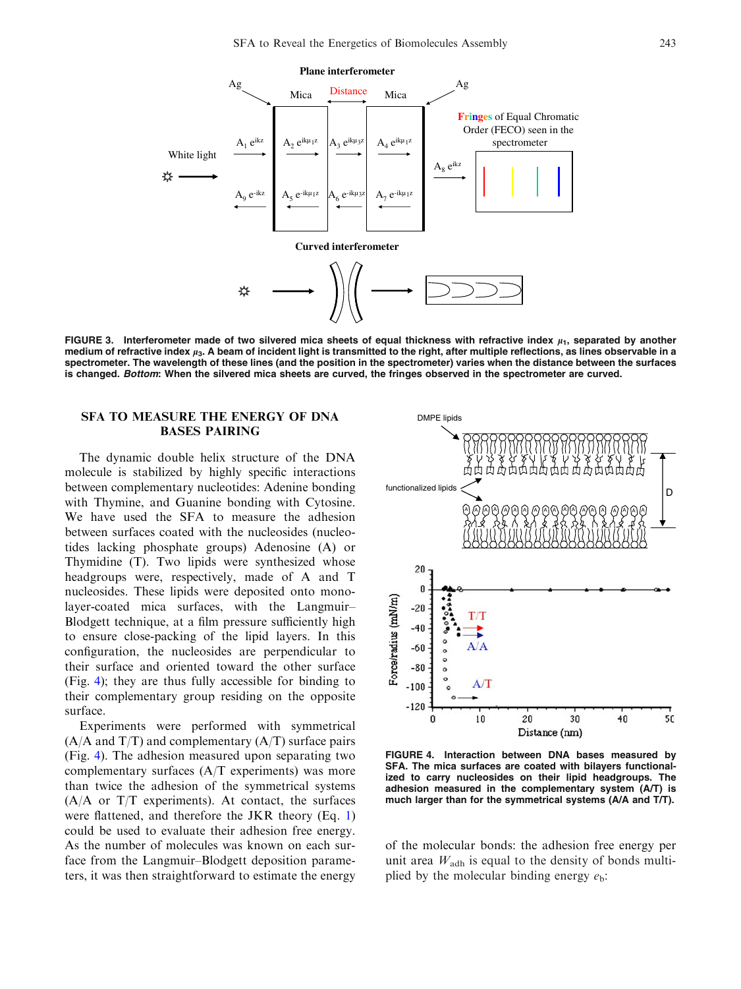<span id="page-3-0"></span>

FIGURE 3. Interferometer made of two silvered mica sheets of equal thickness with refractive index  $\mu_1$ , separated by another medium of refractive index  $\mu_3$ . A beam of incident light is transmitted to the right, after multiple reflections, as lines observable in a spectrometer. The wavelength of these lines (and the position in the spectrometer) varies when the distance between the surfaces is changed. Bottom: When the silvered mica sheets are curved, the fringes observed in the spectrometer are curved.

## SFA TO MEASURE THE ENERGY OF DNA BASES PAIRING

The dynamic double helix structure of the DNA molecule is stabilized by highly specific interactions between complementary nucleotides: Adenine bonding with Thymine, and Guanine bonding with Cytosine. We have used the SFA to measure the adhesion between surfaces coated with the nucleosides (nucleotides lacking phosphate groups) Adenosine (A) or Thymidine (T). Two lipids were synthesized whose headgroups were, respectively, made of A and T nucleosides. These lipids were deposited onto monolayer-coated mica surfaces, with the Langmuir– Blodgett technique, at a film pressure sufficiently high to ensure close-packing of the lipid layers. In this configuration, the nucleosides are perpendicular to their surface and oriented toward the other surface (Fig. 4); they are thus fully accessible for binding to their complementary group residing on the opposite surface.

Experiments were performed with symmetrical  $(A/A$  and  $T/T$ ) and complementary  $(A/T)$  surface pairs (Fig. 4). The adhesion measured upon separating two complementary surfaces (A/T experiments) was more than twice the adhesion of the symmetrical systems  $(A/A)$  or  $T/T$  experiments). At contact, the surfaces were flattened, and therefore the JKR theory (Eq. 1) could be used to evaluate their adhesion free energy. As the number of molecules was known on each surface from the Langmuir–Blodgett deposition parameters, it was then straightforward to estimate the energy



FIGURE 4. Interaction between DNA bases measured by SFA. The mica surfaces are coated with bilayers functionalized to carry nucleosides on their lipid headgroups. The adhesion measured in the complementary system (A/T) is much larger than for the symmetrical systems (A/A and T/T).

of the molecular bonds: the adhesion free energy per unit area  $W_{\text{adh}}$  is equal to the density of bonds multiplied by the molecular binding energy  $e_b$ :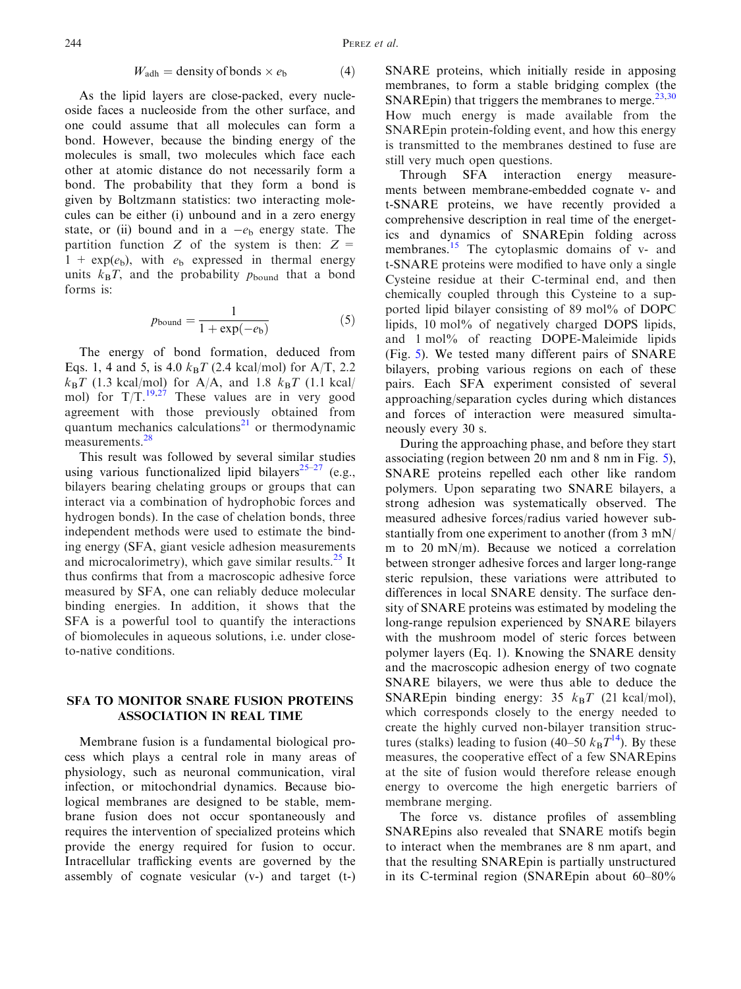$(4)$ 

$$
W_{\text{adh}} =
$$
 density of bonds  $\times e_{\text{b}}$ 

As the lipid layers are close-packed, every nucleoside faces a nucleoside from the other surface, and one could assume that all molecules can form a bond. However, because the binding energy of the molecules is small, two molecules which face each other at atomic distance do not necessarily form a bond. The probability that they form a bond is given by Boltzmann statistics: two interacting molecules can be either (i) unbound and in a zero energy state, or (ii) bound and in a  $-e<sub>b</sub>$  energy state. The partition function  $Z$  of the system is then:  $Z =$  $1 + \exp(e_b)$ , with  $e_b$  expressed in thermal energy units  $k_B T$ , and the probability  $p_{bound}$  that a bond forms is:

$$
p_{\text{bound}} = \frac{1}{1 + \exp(-e_{\text{b}})}\tag{5}
$$

The energy of bond formation, deduced from Eqs. 1, 4 and 5, is 4.0  $k_BT$  (2.4 kcal/mol) for A/T, 2.2  $k_{\text{B}}T$  (1.3 kcal/mol) for A/A, and 1.8  $k_{\text{B}}T$  (1.1 kcal/ mol) for  $T/T$ .<sup>[19,27](#page-6-0)</sup> These values are in very good agreement with those previously obtained from quantum mechanics calculations<sup>[21](#page-6-0)</sup> or thermodynamic measurements.<sup>28</sup>

This result was followed by several similar studies using various functionalized lipid bilayers<sup>25-27</sup> (e.g., bilayers bearing chelating groups or groups that can interact via a combination of hydrophobic forces and hydrogen bonds). In the case of chelation bonds, three independent methods were used to estimate the binding energy (SFA, giant vesicle adhesion measurements and microcalorimetry), which gave similar results. $^{25}$  $^{25}$  $^{25}$  It thus confirms that from a macroscopic adhesive force measured by SFA, one can reliably deduce molecular binding energies. In addition, it shows that the SFA is a powerful tool to quantify the interactions of biomolecules in aqueous solutions, i.e. under closeto-native conditions.

#### SFA TO MONITOR SNARE FUSION PROTEINS ASSOCIATION IN REAL TIME

Membrane fusion is a fundamental biological process which plays a central role in many areas of physiology, such as neuronal communication, viral infection, or mitochondrial dynamics. Because biological membranes are designed to be stable, membrane fusion does not occur spontaneously and requires the intervention of specialized proteins which provide the energy required for fusion to occur. Intracellular trafficking events are governed by the assembly of cognate vesicular (v-) and target (t-)

SNARE proteins, which initially reside in apposing membranes, to form a stable bridging complex (the SNAREpin) that triggers the membranes to merge. $^{23,30}$  $^{23,30}$  $^{23,30}$ How much energy is made available from the SNAREpin protein-folding event, and how this energy is transmitted to the membranes destined to fuse are still very much open questions.

Through SFA interaction energy measurements between membrane-embedded cognate v- and t-SNARE proteins, we have recently provided a comprehensive description in real time of the energetics and dynamics of SNAREpin folding across membranes.<sup>[15](#page-6-0)</sup> The cytoplasmic domains of v- and t-SNARE proteins were modified to have only a single Cysteine residue at their C-terminal end, and then chemically coupled through this Cysteine to a supported lipid bilayer consisting of 89 mol% of DOPC lipids, 10 mol% of negatively charged DOPS lipids, and 1 mol% of reacting DOPE-Maleimide lipids (Fig. [5\)](#page-5-0). We tested many different pairs of SNARE bilayers, probing various regions on each of these pairs. Each SFA experiment consisted of several approaching/separation cycles during which distances and forces of interaction were measured simultaneously every 30 s.

During the approaching phase, and before they start associating (region between 20 nm and 8 nm in Fig. [5](#page-5-0)), SNARE proteins repelled each other like random polymers. Upon separating two SNARE bilayers, a strong adhesion was systematically observed. The measured adhesive forces/radius varied however substantially from one experiment to another (from 3 mN/ m to 20 mN/m). Because we noticed a correlation between stronger adhesive forces and larger long-range steric repulsion, these variations were attributed to differences in local SNARE density. The surface density of SNARE proteins was estimated by modeling the long-range repulsion experienced by SNARE bilayers with the mushroom model of steric forces between polymer layers (Eq. 1). Knowing the SNARE density and the macroscopic adhesion energy of two cognate SNARE bilayers, we were thus able to deduce the SNAREpin binding energy: 35  $k_BT$  (21 kcal/mol), which corresponds closely to the energy needed to create the highly curved non-bilayer transition structures (stalks) leading to fusion (40–50  $k_B T^{14}$  $k_B T^{14}$  $k_B T^{14}$ ). By these measures, the cooperative effect of a few SNAREpins at the site of fusion would therefore release enough energy to overcome the high energetic barriers of membrane merging.

The force vs. distance profiles of assembling SNAREpins also revealed that SNARE motifs begin to interact when the membranes are 8 nm apart, and that the resulting SNAREpin is partially unstructured in its C-terminal region (SNAREpin about 60–80%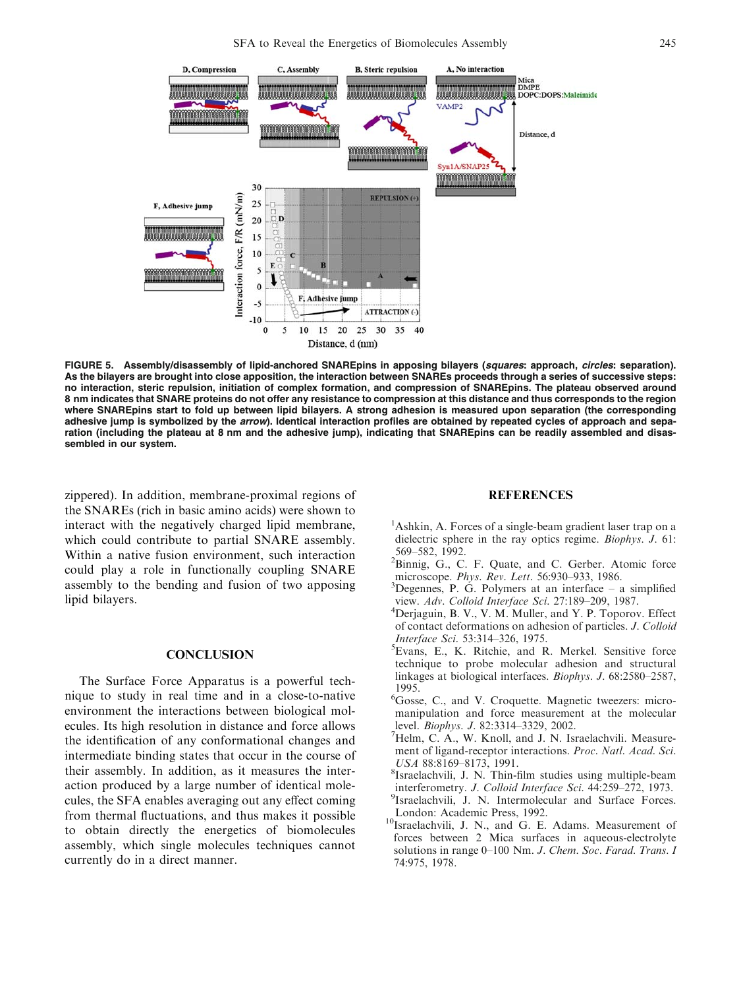<span id="page-5-0"></span>

FIGURE 5. Assembly/disassembly of lipid-anchored SNAREpins in apposing bilayers (squares: approach, circles: separation). As the bilayers are brought into close apposition, the interaction between SNAREs proceeds through a series of successive steps: no interaction, steric repulsion, initiation of complex formation, and compression of SNAREpins. The plateau observed around 8 nm indicates that SNARE proteins do not offer any resistance to compression at this distance and thus corresponds to the region where SNAREpins start to fold up between lipid bilayers. A strong adhesion is measured upon separation (the corresponding adhesive jump is symbolized by the arrow). Identical interaction profiles are obtained by repeated cycles of approach and separation (including the plateau at 8 nm and the adhesive jump), indicating that SNAREpins can be readily assembled and disassembled in our system.

zippered). In addition, membrane-proximal regions of the SNAREs (rich in basic amino acids) were shown to interact with the negatively charged lipid membrane, which could contribute to partial SNARE assembly. Within a native fusion environment, such interaction could play a role in functionally coupling SNARE assembly to the bending and fusion of two apposing lipid bilayers.

#### **CONCLUSION**

The Surface Force Apparatus is a powerful technique to study in real time and in a close-to-native environment the interactions between biological molecules. Its high resolution in distance and force allows the identification of any conformational changes and intermediate binding states that occur in the course of their assembly. In addition, as it measures the interaction produced by a large number of identical molecules, the SFA enables averaging out any effect coming from thermal fluctuations, and thus makes it possible to obtain directly the energetics of biomolecules assembly, which single molecules techniques cannot currently do in a direct manner.

#### **REFERENCES**

- <sup>1</sup>Ashkin, A. Forces of a single-beam gradient laser trap on a dielectric sphere in the ray optics regime. Biophys. J. 61: 569–582, 1992.
- <sup>2</sup>Binnig, G., C. F. Quate, and C. Gerber. Atomic force microscope. Phys. Rev. Lett. 56:930-933, 1986.
- ${}^3$ Degennes, P. G. Polymers at an interface a simplified view. Adv. Colloid Interface Sci. 27:189-209, 1987.
- ${}^{4}$ Derjaguin, B. V., V. M. Muller, and Y. P. Toporov. Effect of contact deformations on adhesion of particles. J. Colloid Interface Sci. 53:314-326, 1975.
- ${}^{5}$ Evans, E., K. Ritchie, and R. Merkel. Sensitive force technique to probe molecular adhesion and structural linkages at biological interfaces. Biophys. J. 68:2580–2587, 1995.
- 6 Gosse, C., and V. Croquette. Magnetic tweezers: micromanipulation and force measurement at the molecular level. Biophys. J. 82:3314–3329, 2002. <sup>7</sup>
- ${}^{7}$ Helm, C. A., W. Knoll, and J. N. Israelachvili. Measurement of ligand-receptor interactions. Proc. Natl. Acad. Sci.  $USA$  88:8169-8173, 1991.
- <sup>8</sup>Israelachvili, J. N. Thin-film studies using multiple-beam interferometry. J. Colloid Interface Sci. 44:259-272, 1973.
- <sup>9</sup>Israelachvili, J. N. Intermolecular and Surface Forces.
- London: Academic Press, 1992.<br><sup>10</sup>Israelachvili, J. N., and G. E. Adams. Measurement of forces between 2 Mica surfaces in aqueous-electrolyte solutions in range 0–100 Nm. J. Chem. Soc. Farad. Trans. I 74:975, 1978.